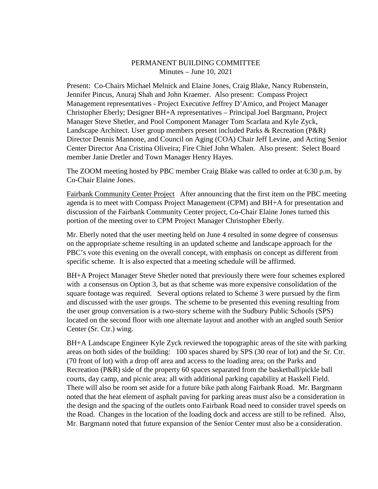## PERMANENT BUILDING COMMITTEE Minutes – June 10, 2021

Present: Co-Chairs Michael Melnick and Elaine Jones, Craig Blake, Nancy Rubenstein, Jennifer Pincus, Anuraj Shah and John Kraemer. Also present: Compass Project Management representatives - Project Executive Jeffrey D'Amico, and Project Manager Christopher Eberly; Designer BH+A representatives – Principal Joel Bargmann, Project Manager Steve Shetler, and Pool Component Manager Tom Scarlata and Kyle Zyck, Landscape Architect. User group members present included Parks & Recreation (P&R) Director Dennis Mannone, and Council on Aging (COA) Chair Jeff Levine, and Acting Senior Center Director Ana Cristina Oliveira; Fire Chief John Whalen. Also present: Select Board member Janie Dretler and Town Manager Henry Hayes.

The ZOOM meeting hosted by PBC member Craig Blake was called to order at 6:30 p.m. by Co-Chair Elaine Jones.

Fairbank Community Center Project After announcing that the first item on the PBC meeting agenda is to meet with Compass Project Management (CPM) and BH+A for presentation and discussion of the Fairbank Community Center project, Co-Chair Elaine Jones turned this portion of the meeting over to CPM Project Manager Christopher Eberly.

Mr. Eberly noted that the user meeting held on June 4 resulted in some degree of consensus on the appropriate scheme resulting in an updated scheme and landscape approach for the PBC's vote this evening on the overall concept, with emphasis on concept as different from specific scheme. It is also expected that a meeting schedule will be affirmed.

BH+A Project Manager Steve Shetler noted that previously there were four schemes explored with a consensus on Option 3, but as that scheme was more expensive consolidation of the square footage was required. Several options related to Scheme 3 were pursued by the firm and discussed with the user groups. The scheme to be presented this evening resulting from the user group conversation is a two-story scheme with the Sudbury Public Schools (SPS) located on the second floor with one alternate layout and another with an angled south Senior Center (Sr. Ctr.) wing.

BH+A Landscape Engineer Kyle Zyck reviewed the topographic areas of the site with parking areas on both sides of the building: 100 spaces shared by SPS (30 rear of lot) and the Sr. Ctr. (70 front of lot) with a drop off area and access to the loading area; on the Parks and Recreation (P&R) side of the property 60 spaces separated from the basketball/pickle ball courts, day camp, and picnic area; all with additional parking capability at Haskell Field. There will also be room set aside for a future bike path along Fairbank Road. Mr. Bargmann noted that the heat element of asphalt paving for parking areas must also be a consideration in the design and the spacing of the outlets onto Fairbank Road need to consider travel speeds on the Road. Changes in the location of the loading dock and access are still to be refined. Also, Mr. Bargmann noted that future expansion of the Senior Center must also be a consideration.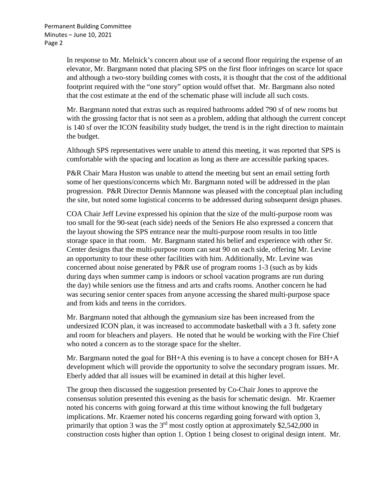In response to Mr. Melnick's concern about use of a second floor requiring the expense of an elevator, Mr. Bargmann noted that placing SPS on the first floor infringes on scarce lot space and although a two-story building comes with costs, it is thought that the cost of the additional footprint required with the "one story" option would offset that. Mr. Bargmann also noted that the cost estimate at the end of the schematic phase will include all such costs.

Mr. Bargmann noted that extras such as required bathrooms added 790 sf of new rooms but with the grossing factor that is not seen as a problem, adding that although the current concept is 140 sf over the ICON feasibility study budget, the trend is in the right direction to maintain the budget.

Although SPS representatives were unable to attend this meeting, it was reported that SPS is comfortable with the spacing and location as long as there are accessible parking spaces.

P&R Chair Mara Huston was unable to attend the meeting but sent an email setting forth some of her questions/concerns which Mr. Bargmann noted will be addressed in the plan progression. P&R Director Dennis Mannone was pleased with the conceptual plan including the site, but noted some logistical concerns to be addressed during subsequent design phases.

COA Chair Jeff Levine expressed his opinion that the size of the multi-purpose room was too small for the 90-seat (each side) needs of the Seniors He also expressed a concern that the layout showing the SPS entrance near the multi-purpose room results in too little storage space in that room. Mr. Bargmann stated his belief and experience with other Sr. Center designs that the multi-purpose room can seat 90 on each side, offering Mr. Levine an opportunity to tour these other facilities with him. Additionally, Mr. Levine was concerned about noise generated by P&R use of program rooms 1-3 (such as by kids during days when summer camp is indoors or school vacation programs are run during the day) while seniors use the fitness and arts and crafts rooms. Another concern he had was securing senior center spaces from anyone accessing the shared multi-purpose space and from kids and teens in the corridors.

Mr. Bargmann noted that although the gymnasium size has been increased from the undersized ICON plan, it was increased to accommodate basketball with a 3 ft. safety zone and room for bleachers and players. He noted that he would be working with the Fire Chief who noted a concern as to the storage space for the shelter.

Mr. Bargmann noted the goal for BH+A this evening is to have a concept chosen for BH+A development which will provide the opportunity to solve the secondary program issues. Mr. Eberly added that all issues will be examined in detail at this higher level.

The group then discussed the suggestion presented by Co-Chair Jones to approve the consensus solution presented this evening as the basis for schematic design. Mr. Kraemer noted his concerns with going forward at this time without knowing the full budgetary implications. Mr. Kraemer noted his concerns regarding going forward with option 3, primarily that option 3 was the  $3<sup>rd</sup>$  most costly option at approximately \$2,542,000 in construction costs higher than option 1. Option 1 being closest to original design intent. Mr.